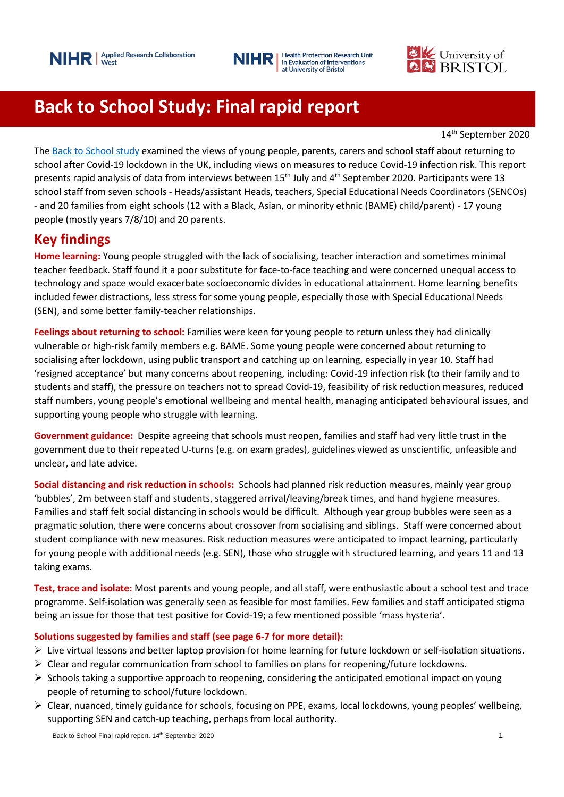

**Health Protection Research Unit** NIHR in Evaluation of Interventions at University of Bristol



# **Back to School Study: Final rapid report**

14th September 2020

The [Back to School study](https://arc-w.nihr.ac.uk/research/projects/the-back-to-school-study-investigating-the-views-of-young-people-their-parents-carers-and-teachers-about-re-opening-secondary-schools/) examined the views of young people, parents, carers and school staff about returning to school after Covid-19 lockdown in the UK, including views on measures to reduce Covid-19 infection risk. This report presents rapid analysis of data from interviews between  $15<sup>th</sup>$  July and  $4<sup>th</sup>$  September 2020. Participants were 13 school staff from seven schools - Heads/assistant Heads, teachers, Special Educational Needs Coordinators (SENCOs) - and 20 families from eight schools (12 with a Black, Asian, or minority ethnic (BAME) child/parent) - 17 young people (mostly years 7/8/10) and 20 parents.

# **Key findings**

**Home learning:** Young people struggled with the lack of socialising, teacher interaction and sometimes minimal teacher feedback. Staff found it a poor substitute for face-to-face teaching and were concerned unequal access to technology and space would exacerbate socioeconomic divides in educational attainment. Home learning benefits included fewer distractions, less stress for some young people, especially those with Special Educational Needs (SEN), and some better family-teacher relationships.

**Feelings about returning to school:** Families were keen for young people to return unless they had clinically vulnerable or high-risk family members e.g. BAME. Some young people were concerned about returning to socialising after lockdown, using public transport and catching up on learning, especially in year 10. Staff had 'resigned acceptance' but many concerns about reopening, including: Covid-19 infection risk (to their family and to students and staff), the pressure on teachers not to spread Covid-19, feasibility of risk reduction measures, reduced staff numbers, young people's emotional wellbeing and mental health, managing anticipated behavioural issues, and supporting young people who struggle with learning.

**Government guidance:** Despite agreeing that schools must reopen, families and staff had very little trust in the government due to their repeated U-turns (e.g. on exam grades), guidelines viewed as unscientific, unfeasible and unclear, and late advice.

**Social distancing and risk reduction in schools:** Schools had planned risk reduction measures, mainly year group 'bubbles', 2m between staff and students, staggered arrival/leaving/break times, and hand hygiene measures. Families and staff felt social distancing in schools would be difficult. Although year group bubbles were seen as a pragmatic solution, there were concerns about crossover from socialising and siblings. Staff were concerned about student compliance with new measures. Risk reduction measures were anticipated to impact learning, particularly for young people with additional needs (e.g. SEN), those who struggle with structured learning, and years 11 and 13 taking exams.

**Test, trace and isolate:** Most parents and young people, and all staff, were enthusiastic about a school test and trace programme. Self-isolation was generally seen as feasible for most families. Few families and staff anticipated stigma being an issue for those that test positive for Covid-19; a few mentioned possible 'mass hysteria'.

## **Solutions suggested by families and staff (see page 6-7 for more detail):**

- ➢ Live virtual lessons and better laptop provision for home learning for future lockdown or self-isolation situations.
- $\triangleright$  Clear and regular communication from school to families on plans for reopening/future lockdowns.
- $\triangleright$  Schools taking a supportive approach to reopening, considering the anticipated emotional impact on young people of returning to school/future lockdown.
- ➢ Clear, nuanced, timely guidance for schools, focusing on PPE, exams, local lockdowns, young peoples' wellbeing, supporting SEN and catch-up teaching, perhaps from local authority.

Back to School Final rapid report. 14<sup>th</sup> September 2020 **1** and the state of the state of the state of the state of the state of the state of the state of the state of the state of the state of the state of the state of t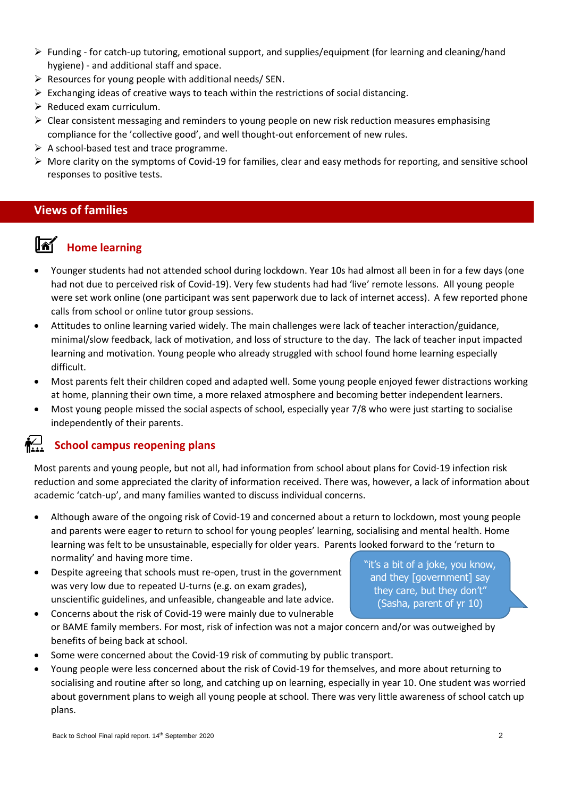- ➢ Funding for catch-up tutoring, emotional support, and supplies/equipment (for learning and cleaning/hand hygiene) - and additional staff and space.
- $\triangleright$  Resources for young people with additional needs/ SEN.
- $\triangleright$  Exchanging ideas of creative ways to teach within the restrictions of social distancing.
- $\triangleright$  Reduced exam curriculum.
- ➢ Clear consistent messaging and reminders to young people on new risk reduction measures emphasising compliance for the 'collective good', and well thought-out enforcement of new rules.
- $\triangleright$  A school-based test and trace programme.
- $\triangleright$  More clarity on the symptoms of Covid-19 for families, clear and easy methods for reporting, and sensitive school responses to positive tests.

# **Views of families**

# **Home learning**

- Younger students had not attended school during lockdown. Year 10s had almost all been in for a few days (one had not due to perceived risk of Covid-19). Very few students had had 'live' remote lessons. All young people were set work online (one participant was sent paperwork due to lack of internet access). A few reported phone calls from school or online tutor group sessions.
- Attitudes to online learning varied widely. The main challenges were lack of teacher interaction/guidance, minimal/slow feedback, lack of motivation, and loss of structure to the day. The lack of teacher input impacted learning and motivation. Young people who already struggled with school found home learning especially difficult.
- Most parents felt their children coped and adapted well. Some young people enjoyed fewer distractions working at home, planning their own time, a more relaxed atmosphere and becoming better independent learners.
- Most young people missed the social aspects of school, especially year 7/8 who were just starting to socialise independently of their parents.

# $\sum_{n=1}^{n}$

## **School campus reopening plans**

Most parents and young people, but not all, had information from school about plans for Covid-19 infection risk reduction and some appreciated the clarity of information received. There was, however, a lack of information about academic 'catch-up', and many families wanted to discuss individual concerns.

- Although aware of the ongoing risk of Covid-19 and concerned about a return to lockdown, most young people and parents were eager to return to school for young peoples' learning, socialising and mental health. Home learning was felt to be unsustainable, especially for older years. Parents looked forward to the 'return to normality' and having more time.
- Despite agreeing that schools must re-open, trust in the government was very low due to repeated U-turns (e.g. on exam grades), unscientific guidelines, and unfeasible, changeable and late advice.

"it's a bit of a joke, you know, and they [government] say they care, but they don't" (Sasha, parent of yr 10)

- Concerns about the risk of Covid-19 were mainly due to vulnerable or BAME family members. For most, risk of infection was not a major concern and/or was outweighed by benefits of being back at school.
- Some were concerned about the Covid-19 risk of commuting by public transport.
- Young people were less concerned about the risk of Covid-19 for themselves, and more about returning to socialising and routine after so long, and catching up on learning, especially in year 10. One student was worried about government plans to weigh all young people at school. There was very little awareness of school catch up plans.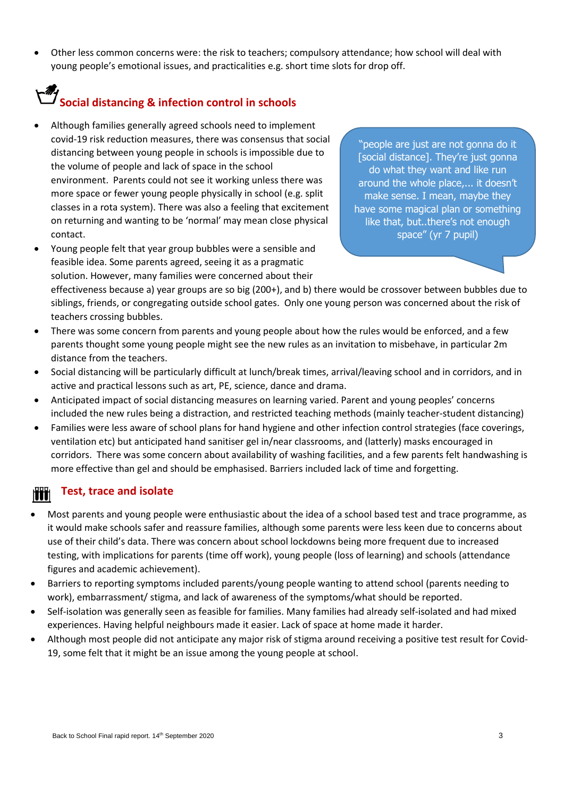• Other less common concerns were: the risk to teachers; compulsory attendance; how school will deal with young people's emotional issues, and practicalities e.g. short time slots for drop off.

# **Social distancing & infection control in schools**

- Although families generally agreed schools need to implement covid-19 risk reduction measures, there was consensus that social distancing between young people in schools is impossible due to the volume of people and lack of space in the school environment. Parents could not see it working unless there was more space or fewer young people physically in school (e.g. split classes in a rota system). There was also a feeling that excitement on returning and wanting to be 'normal' may mean close physical contact.
- Young people felt that year group bubbles were a sensible and feasible idea. Some parents agreed, seeing it as a pragmatic solution. However, many families were concerned about their

"people are just are not gonna do it [social distance]. They're just gonna do what they want and like run around the whole place,... it doesn't make sense. I mean, maybe they have some magical plan or something like that, but..there's not enough space" (yr 7 pupil)

effectiveness because a) year groups are so big (200+), and b) there would be crossover between bubbles due to siblings, friends, or congregating outside school gates. Only one young person was concerned about the risk of teachers crossing bubbles.

- There was some concern from parents and young people about how the rules would be enforced, and a few parents thought some young people might see the new rules as an invitation to misbehave, in particular 2m distance from the teachers.
- Social distancing will be particularly difficult at lunch/break times, arrival/leaving school and in corridors, and in active and practical lessons such as art, PE, science, dance and drama.
- Anticipated impact of social distancing measures on learning varied. Parent and young peoples' concerns included the new rules being a distraction, and restricted teaching methods (mainly teacher-student distancing)
- Families were less aware of school plans for hand hygiene and other infection control strategies (face coverings, ventilation etc) but anticipated hand sanitiser gel in/near classrooms, and (latterly) masks encouraged in corridors. There was some concern about availability of washing facilities, and a few parents felt handwashing is more effective than gel and should be emphasised. Barriers included lack of time and forgetting.

# **Test, trace and isolate**

- Most parents and young people were enthusiastic about the idea of a school based test and trace programme, as it would make schools safer and reassure families, although some parents were less keen due to concerns about use of their child's data. There was concern about school lockdowns being more frequent due to increased testing, with implications for parents (time off work), young people (loss of learning) and schools (attendance figures and academic achievement).
- Barriers to reporting symptoms included parents/young people wanting to attend school (parents needing to work), embarrassment/ stigma, and lack of awareness of the symptoms/what should be reported.
- Self-isolation was generally seen as feasible for families. Many families had already self-isolated and had mixed experiences. Having helpful neighbours made it easier. Lack of space at home made it harder.
- Although most people did not anticipate any major risk of stigma around receiving a positive test result for Covid-19, some felt that it might be an issue among the young people at school.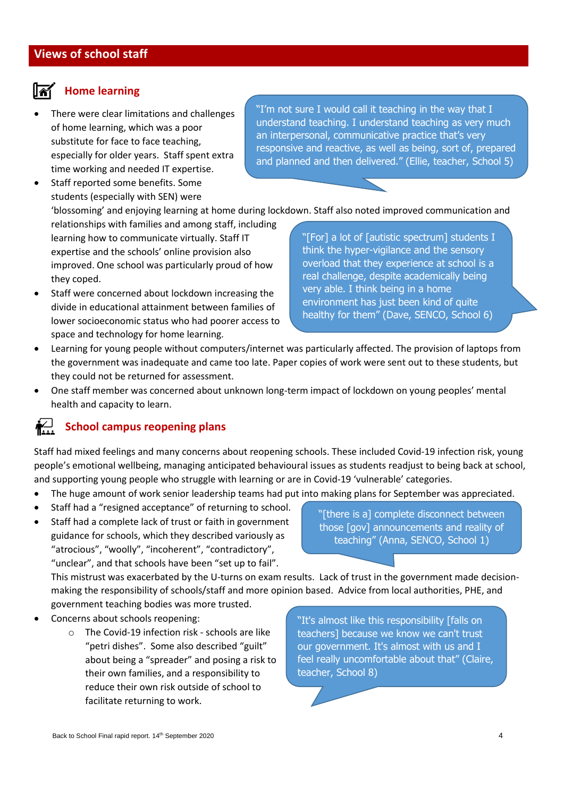# **Home learning**

• There were clear limitations and challenges of home learning, which was a poor substitute for face to face teaching, especially for older years. Staff spent extra time working and needed IT expertise.

Staff reported some benefits. Some students (especially with SEN) were "I'm not sure I would call it teaching in the way that I understand teaching. I understand teaching as very much an interpersonal, communicative practice that's very responsive and reactive, as well as being, sort of, prepared and planned and then delivered." (Ellie, teacher, School 5)

'blossoming' and enjoying learning at home during lockdown. Staff also noted improved communication and

relationships with families and among staff, including learning how to communicate virtually. Staff IT expertise and the schools' online provision also improved. One school was particularly proud of how they coped.

Staff were concerned about lockdown increasing the divide in educational attainment between families of lower socioeconomic status who had poorer access to space and technology for home learning.

"[For] a lot of [autistic spectrum] students I think the hyper-vigilance and the sensory overload that they experience at school is a real challenge, despite academically being very able. I think being in a home environment has just been kind of quite healthy for them" (Dave, SENCO, School 6)

- Learning for young people without computers/internet was particularly affected. The provision of laptops from the government was inadequate and came too late. Paper copies of work were sent out to these students, but they could not be returned for assessment.
- One staff member was concerned about unknown long-term impact of lockdown on young peoples' mental health and capacity to learn.

#### *i*r∷ **School campus reopening plans**

Staff had mixed feelings and many concerns about reopening schools. These included Covid-19 infection risk, young people's emotional wellbeing, managing anticipated behavioural issues as students readjust to being back at school, and supporting young people who struggle with learning or are in Covid-19 'vulnerable' categories.

- The huge amount of work senior leadership teams had put into making plans for September was appreciated.
- Staff had a "resigned acceptance" of returning to school.
- Staff had a complete lack of trust or faith in government guidance for schools, which they described variously as "atrocious", "woolly", "incoherent", "contradictory", "unclear", and that schools have been "set up to fail".

"[there is a] complete disconnect between those [gov] announcements and reality of teaching" (Anna, SENCO, School 1)

This mistrust was exacerbated by the U-turns on exam results. Lack of trust in the government made decisionmaking the responsibility of schools/staff and more opinion based. Advice from local authorities, PHE, and government teaching bodies was more trusted. *can't trust our government it's* 

- Concerns about schools reopening:
	- o The Covid-19 infection risk schools are like "petri dishes". Some also described "guilt" about being a "spreader" and posing a risk to their own families, and a responsibility to reduce their own risk outside of school to facilitate returning to work.

*almost with us and I feel really*  "It's almost like this responsibility [falls on teachers] because we know we can't trust our government. It's almost with us and I feel really uncomfortable about that" (Claire, teacher, School 8)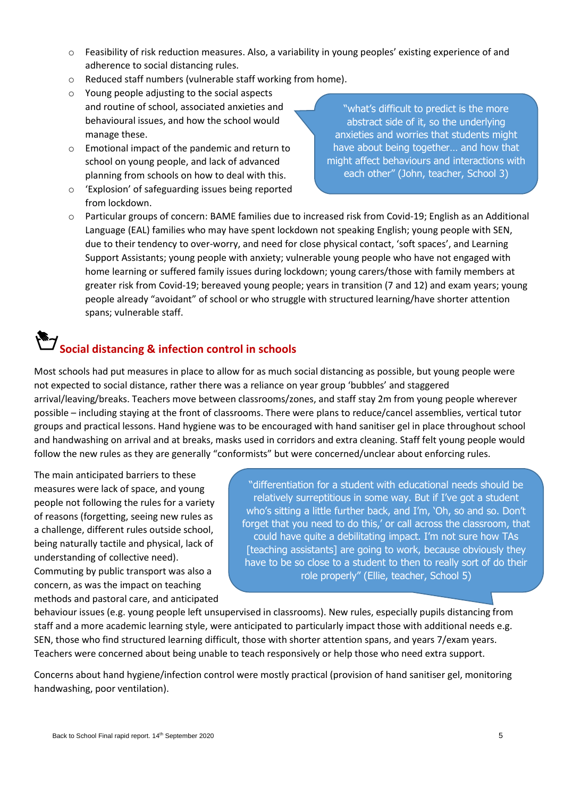- o Feasibility of risk reduction measures. Also, a variability in young peoples' existing experience of and adherence to social distancing rules.
- o Reduced staff numbers (vulnerable staff working from home).
- o Young people adjusting to the social aspects and routine of school, associated anxieties and behavioural issues, and how the school would manage these.
- o Emotional impact of the pandemic and return to school on young people, and lack of advanced planning from schools on how to deal with this.
- o 'Explosion' of safeguarding issues being reported from lockdown.

"what's difficult to predict is the more abstract side of it, so the underlying anxieties and worries that students might have about being together… and how that might affect behaviours and interactions with each other" (John, teacher, School 3)

o Particular groups of concern: BAME families due to increased risk from Covid-19; English as an Additional Language (EAL) families who may have spent lockdown not speaking English; young people with SEN, due to their tendency to over-worry, and need for close physical contact, 'soft spaces', and Learning Support Assistants; young people with anxiety; vulnerable young people who have not engaged with home learning or suffered family issues during lockdown; young carers/those with family members at greater risk from Covid-19; bereaved young people; years in transition (7 and 12) and exam years; young people already "avoidant" of school or who struggle with structured learning/have shorter attention spans; vulnerable staff.

# **Social distancing & infection control in schools**

Most schools had put measures in place to allow for as much social distancing as possible, but young people were not expected to social distance, rather there was a reliance on year group 'bubbles' and staggered arrival/leaving/breaks. Teachers move between classrooms/zones, and staff stay 2m from young people wherever possible – including staying at the front of classrooms. There were plans to reduce/cancel assemblies, vertical tutor groups and practical lessons. Hand hygiene was to be encouraged with hand sanitiser gel in place throughout school and handwashing on arrival and at breaks, masks used in corridors and extra cleaning. Staff felt young people would follow the new rules as they are generally "conformists" but were concerned/unclear about enforcing rules.

The main anticipated barriers to these measures were lack of space, and young people not following the rules for a variety of reasons (forgetting, seeing new rules as a challenge, different rules outside school, being naturally tactile and physical, lack of understanding of collective need). Commuting by public transport was also a concern, as was the impact on teaching methods and pastoral care, and anticipated

"differentiation for a student with educational needs should be relatively surreptitious in some way. But if I've got a student who's sitting a little further back, and I'm, 'Oh, so and so. Don't forget that you need to do this,' or call across the classroom, that could have quite a debilitating impact. I'm not sure how TAs [teaching assistants] are going to work, because obviously they have to be so close to a student to then to really sort of do their role properly" (Ellie, teacher, School 5)

behaviour issues (e.g. young people left unsupervised in classrooms). New rules, especially pupils distancing from staff and a more academic learning style, were anticipated to particularly impact those with additional needs e.g. SEN, those who find structured learning difficult, those with shorter attention spans, and years 7/exam years. Teachers were concerned about being unable to teach responsively or help those who need extra support.

Concerns about hand hygiene/infection control were mostly practical (provision of hand sanitiser gel, monitoring handwashing, poor ventilation).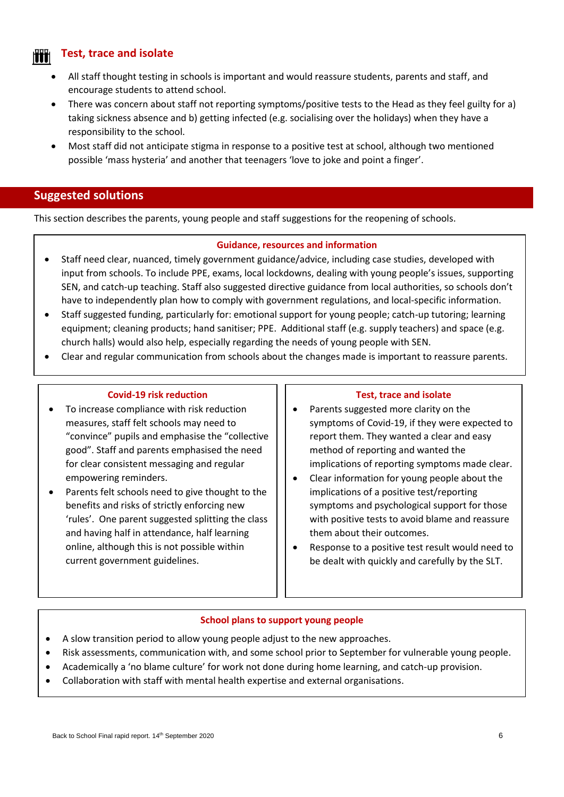# **Test, trace and isolate**

- All staff thought testing in schools is important and would reassure students, parents and staff, and encourage students to attend school.
- There was concern about staff not reporting symptoms/positive tests to the Head as they feel guilty for a) taking sickness absence and b) getting infected (e.g. socialising over the holidays) when they have a responsibility to the school.
- Most staff did not anticipate stigma in response to a positive test at school, although two mentioned possible 'mass hysteria' and another that teenagers 'love to joke and point a finger'.

## **Suggested solutions**

This section describes the parents, young people and staff suggestions for the reopening of schools.

### **Guidance, resources and information**

- Staff need clear, nuanced, timely government guidance/advice, including case studies, developed with input from schools. To include PPE, exams, local lockdowns, dealing with young people's issues, supporting SEN, and catch-up teaching. Staff also suggested directive guidance from local authorities, so schools don't have to independently plan how to comply with government regulations, and local-specific information.
- Staff suggested funding, particularly for: emotional support for young people; catch-up tutoring; learning equipment; cleaning products; hand sanitiser; PPE. Additional staff (e.g. supply teachers) and space (e.g. church halls) would also help, especially regarding the needs of young people with SEN.
- Clear and regular communication from schools about the changes made is important to reassure parents.

### **Covid-19 risk reduction**

- To increase compliance with risk reduction measures, staff felt schools may need to "convince" pupils and emphasise the "collective good". Staff and parents emphasised the need for clear consistent messaging and regular empowering reminders.
- Parents felt schools need to give thought to the benefits and risks of strictly enforcing new 'rules'. One parent suggested splitting the class and having half in attendance, half learning online, although this is not possible within current government guidelines.

### **Test, trace and isolate**

- Parents suggested more clarity on the symptoms of Covid-19, if they were expected to report them. They wanted a clear and easy method of reporting and wanted the implications of reporting symptoms made clear.
- Clear information for young people about the implications of a positive test/reporting symptoms and psychological support for those with positive tests to avoid blame and reassure them about their outcomes.
- Response to a positive test result would need to be dealt with quickly and carefully by the SLT.

### **School plans to support young people**

- A slow transition period to allow young people adjust to the new approaches.
- Risk assessments, communication with, and some school prior to September for vulnerable young people.
- Academically a 'no blame culture' for work not done during home learning, and catch-up provision.
- Collaboration with staff with mental health expertise and external organisations.